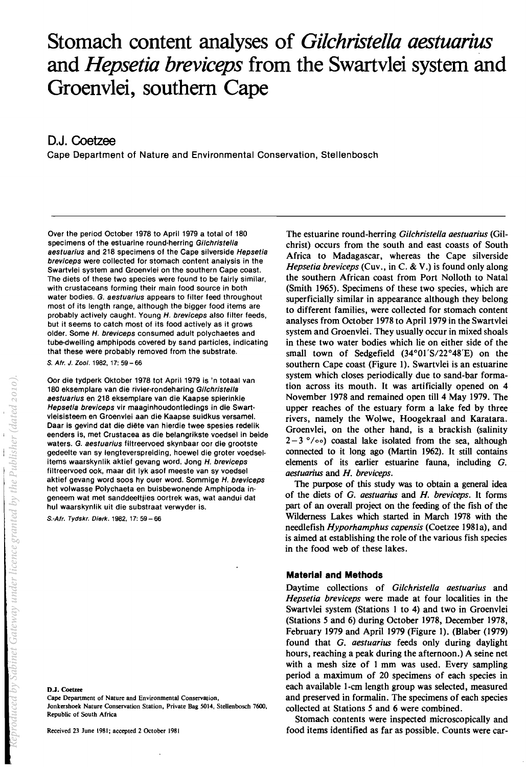# Stomach content analyses of *Gilchristella aestuarius* **and** *Hepsetia breviceps* **from the Swartvlei system and Groenvlei, southern Cape**

# **D.J. Coetzee**

Cape Department of Nature and Environmental Conservation, Stellenbosch

Over the period October 1978 to April 1979 a total of 180 specimens of the estuarine round-herring Gilchristella aestuarius and 218 specimens of the Cape silverside Hepsetia breviceps were collected for stomach content analysis in the Swartvlei system and Groenvlei on the southern Cape coast. The diets of these two species were found to be fairly similar, with crustaceans forming their main food source in both water bodies. G. aestuarius appears to filter feed throughout most of its length range, although the bigger food items are probably actively caught. Young H. breviceps also filter feeds, but it seems to catch most of its food actively as it grows older. Some H. breviceps consumed adult polychaetes and tube-dwelling amphipods covered by sand particles, indicating that these were probably removed from the substrate.

S. Afr. J. Zool. 1982, 17: 59 - 66

Oor die tydperk Oktober 1978 tot April 1979 is 'n totaal van 180 eksemplare van die rivier-rondeharing Gi/christel/a aestuarius en 218 eksemplare van die Kaapse spierinkie Hepsetia breviceps vir maaginhoudontledings in die Swartvleisisteem en Groenvlei aan die Kaapse suidkus versamel. Daar is gevind dat die diete van hierdie twee spesies redelik eenders is, met Crustacea as die belangrikste voedsel in beide waters. G. aestuarius filtreervoed skynbaar oor die grootste gedeelte van sy lengteverspreiding, hoewel die groter voedselitems waarskynlik aktief gevang word. Jong H. breviceps filtreervoed ook, maar dit Iyk asof meeste van sy voedsel aktief gevang word soos hy ouer word. Sommige H. breviceps het volwasse Polychaeta en buisbewonende Amphipoda ingeneem wat met sanddeeltjies oortrek was, wat aandui dat hul waarskynlik uit die substraat verwyder is.

S.-Afr. Tydskr. Dierk. 1982, 17: 59 - 66

D.l. Coetzee

Cape Department of Nature and Environmental Conservation, Jonkershoek Nature Conservation Station, Private Bag 5014, Stellenbosch 7600, Republic of South Africa

Received 23 June 1981; accepted 2 October 1981

The estuarine round-herring *Oi/christella aestuarius* (Gilchrist) occurs from the south and east coasts of South Africa to Madagascar, whereas the Cape silverside *Hepsetia breviceps* (Cuv., in C. & V.) is found only along the southern African coast from Port Nolloth to Natal (Smith 1965). Specimens of these two species, which are superficially similar in appearance although they belong to different families, were collected for stomach content analyses from October 1978 to April 1979 in the Swartvlei system and Groenvlei. They usually occur in mixed shoals in these two water bodies which lie on either side of the small town of Sedgefield  $(34^{\circ}01'S/22^{\circ}48'E)$  on the southern Cape coast (Figure 1). Swartvlei is an estuarine system which closes periodically due to sand-bar formation across its mouth. It was artificially opened on 4 November 1978 and remained open till 4 May 1979. The upper reaches of the estuary form a lake fed by three rivers, namely the Wolwe, Hoogekraal and Karatara. Groenvlei, on the other hand, is a brackish (salinity  $2-3$   $\degree$ / $\circ$  $\circ$ ) coastal lake isolated from the sea, although connected to it long ago (Martin 1962). It still contains elements of its earlier estuarine fauna, including O. *aestuarius* and *H\_ breviceps.* 

The purpose of this study was to obtain a general idea of the diets of *O. aestuarius* and *H. breviceps.* It forms part of an overall project on the feeding of the fish of the Wilderness Lakes which started in March 1978 with the needlefish *Hyporhamphus capensis* (Coetzee 1981a), and is aimed at establishing the role of the various fish species in the food web of these lakes.

## **Material and Methods**

Daytime collections of *Oi/christella aestuarius* and *Hepsetia breviceps* were made at four localities in the Swartvlei system (Stations 1 to 4) and two in Groenvlei (Stations 5 and 6) during October 1978, December 1978, February 1979 and April 1979 (Figure 1). (Blaber (1979) found that *O. aestuarius* feeds only during daylight hours, reaching a peak during the afternoon.) A seine net with a mesh size of 1 mm was used. Every sampling period a maximum of 20 specimens of each species in each available l-cm length group was selected, measured and preserved in formalin. The specimens of each species collected at Stations 5 and 6 were combined\_

Stomach contents were inspected microscopically and food items identified as far as possible. Counts were car-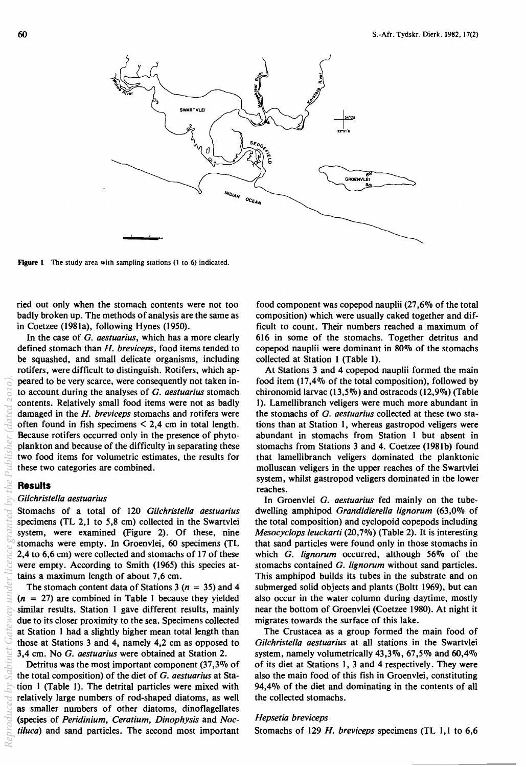

Figure 1 The study area with sampling stations (1 to 6) indicated.

ried out only when the stomach contents were not too badly broken up. The methods of analysis are the same as in Coetzee (1981a), following Hynes (1950).

In the case of G. *aestuarius,* which has a more clearly defined stomach than *H. breviceps,* food items tended to be squashed, and small delicate organisms, including rotifers, were difficult to distinguish. Rotifers, which appeared to be very scarce, were consequently not taken into account during the analyses of G. *aestuarius* stomach contents. Relatively small food items were not as badly damaged in the *H. breviceps* stomachs and rotifers were often found in fish specimens  $\leq 2,4$  cm in total length. Because rotifers occurred only in the presence of phytoplankton and because of the difficulty in separating these two food items for volumetric estimates, the results for these two categories are combined. *Reproduced* **by** *Sabinetic <i>Gateway* **R** *Gateway licence <i>g R G sa y t R G sa y t a th i i sa th i i sa sa y t a d g <i>h*<sup></sup> *i*</del> *<i>i f i sa t a th* 

#### **Results**

#### *Gilchristella aestuarius*

Stomachs of a total of 120 *Gilchristella aestuarius*  specimens (TL 2,1 to 5,8 cm) collected in the Swartvlei system, were examined (Figure 2). Of these, nine stomachs were empty. In Groenvlei, 60 specimens (TL 2,4 to 6,6 cm) were collected and stomachs of 17 of these were empty. According to Smith (1965) this species attains a maximum length of about 7,6 cm.

The stomach content data of Stations 3 ( $n = 35$ ) and 4  $(n = 27)$  are combined in Table 1 because they yielded similar results. Station 1 gave different results, mainly due to its closer proximity to the sea. Specimens collected at Station 1 had a slightly higher mean total length than those at Stations 3 and 4, namely 4,2 cm as opposed to 3,4 cm. No G. *aestuarius* were obtained at Station 2.

Detritus was the most important component  $(37,3\%$  of the total composition) of the diet of G. *aestuarius* at Station 1 (Table 1). The detrital particles were mixed with relatively large numbers of rod-shaped diatoms, as well as smaller numbers of other diatoms, dinoflagellates (species of *Peridinium, Ceratium, Dinophysis* and *Noctiluca)* and sand particles. The second most important food component was copepod nauplii (27,6% of the total composition) which were usually caked together and difficult to count. Their numbers reached a maximum of 616 in some of the stomachs. Together detritus and copepod nauplii were dominant in 80% of the stomachs collected at Station 1 (Table 1).

At Stations 3 and 4 copepod nauplii formed the main food item (17,4% of the total composition), followed by chironomid larvae (13,5%) and ostracods (12,9%) (Table 1). Lamellibranch veligers were much more abundant in the stomachs of G. *aestuarius* collected at these two stations than at Station 1, whereas gastropod veligers were abundant in stomachs from Station 1 but absent in stomachs from Stations 3 and 4. Coetzee (1981b) found that lamellibranch veligers dominated the planktonic molluscan veligers in the upper reaches of the Swartvlei system, whilst gastropod veligers dominated in the lower reaches.

In Groenvlei G. *aestuarius* fed mainly on the tubedwelling amphipod *Grandidierella Iignorum* (63,0% of the total composition) and cyclopoid copepods including *Mesocyclops leuckarti* (20,7%) (Table 2). It is interesting that sand particles were found only in those stomachs in which G. *Iignorum* occurred, although 56% of the stomachs contained G. *Iignorum* without sand particles. This amphipod builds its tubes in the substrate and on submerged solid objects and plants (Boltt 1969), but can also occur in the water column during daytime, mostly near the bottom of Groenvlei (Coetzee 1980). At night it migrates towards the surface of this lake.

The Crustacea as a group formed the main food of *Gilchristella aestuarius* at all stations in the Swartvlei system, namely volumetrically 43,3%, 67,5% and 60,4% of its diet at Stations 1, 3 and 4 respectively. They were also the main food of this fish in Groenvlei, constituting 94,4% of the diet and dominating in the contents of all the collected stomachs.

#### *Hepsetia breviceps*

Stomachs of 129 *H. breviceps* specimens (TL 1,1 to 6,6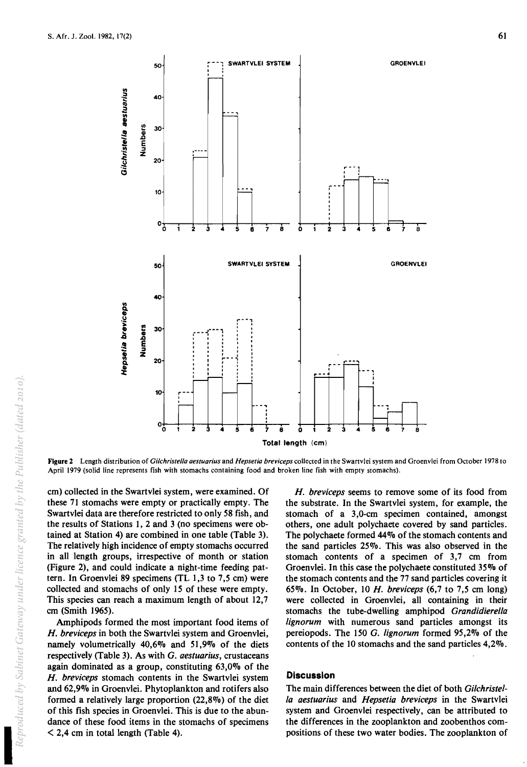

Figure 2 Length distribution of *Gilchristella aestuarius* and *Hepsetia breviceps* collected in the Swartvlei system and Groenvlei from October 1978 to April 1979 (solid line represents fish with stomachs containing food and broken line fish with empty stomachs).

cm) collected in the Swartvlei system, were examined. Of these 71 stomachs were empty or practically empty. The Swartvlei data are therefore restricted to only 58 fish, and the results of Stations 1, 2 and 3 (no specimens were obtained at Station 4) are combined in one table (Table 3). The relatively high incidence of empty stomachs occurred in all length groups, irrespective of month or station (Figure 2), and could indicate a night-time feeding pattern. In Groenvlei 89 specimens (TL 1,3 to 7,5 cm) were collected and stomachs of only 15 of these were empty. This species can reach a maximum length of about 12,7 cm (Smith 1965).

Amphipods formed the most important food items of *H. breviceps* in both the Swartvlei system and Groenvlei, namely volumetrically 40,6% and 51,9% of the diets respectively (Table 3). As with G. *aestuarius,* crustaceans again dominated as a group, constituting 63,0% of the *H. breviceps* stomach contents in the Swartvlei system and 62,9% in Groenvlei. Phytoplankton and rotifers also formed a relatively large proportion (22,8%) of the diet of this fish species in Groenvlei. This is due to the abundance of these food items in the stomachs of specimens  $\leq$  2,4 cm in total length (Table 4).

*H. breviceps* seems to remove some of its food from the substrate. In the Swartvlei system, for example, the stomach of a 3,0-cm specimen contained, amongst others, one adult polychaete covered by sand particles. The polychaete formed 44% of the stomach contents and the sand particles 25%. This was also observed in the stomach contents of a specimen of 3,7 cm from Groenvlei. In this case the polychaete constituted 35% of the stomach contents and the 77 sand particles covering it 65%. In October, 10 *H. breviceps* (6,7 to 7,5 cm long) were collected in Groenvlei, all containing in their stomachs the tube-dwelling amphipod *Grandidierella Iignorum* with numerous sand particles amongst its pereiopods. The 150 G. *Iignorum* formed 95,2% of the contents of the 10 stomachs and the sand particles 4,2%.

#### **Discussion**

The main differences between the diet of both *Gilchristella aestuarius* and *Hepsetia breviceps* in the Swartvlei system and Groenvlei respectively, can be attributed to the differences in the zooplankton and zoobenthos compositions of these two water bodies. The zooplankton of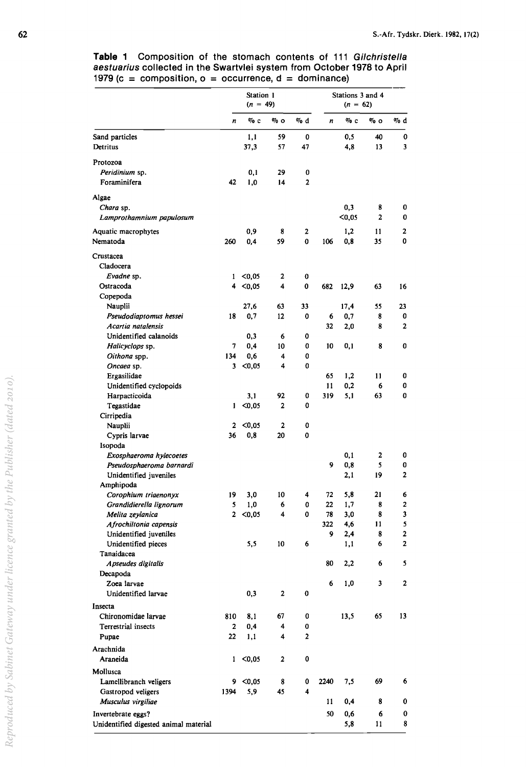**Table 1** Composition of the stomach contents of 111 Gilchristella aestuarius collected in the Swartvlei system from October 1978 to April 1979 ( $c =$  composition,  $o =$  occurrence,  $d =$  dominance)

| $\%$ d<br>% d<br>$\%$ c<br>$\%$ o<br>%с<br>% о<br>n<br>n<br>1,1<br>59<br>0<br>0,5<br>Sand particles<br>40<br>0<br>37,3<br>57<br>4,8<br>13<br>3<br>Detritus<br>47<br>Protozoa<br>Peridinium sp.<br>0,1<br>29<br>0<br>Foraminifera<br>42<br>1,0<br>2<br>14<br>Algae<br>0,3<br>8<br>0<br>Chara sp.<br>$0,05$<br>2<br>0<br>Lamprothamnium papulosum<br>0,9<br>2<br>Aquatic macrophytes<br>2<br>1,2<br>11<br>8<br>0<br>59<br>0,8<br>35<br>Nematoda<br>260<br>0,4<br>0<br>106<br>Crustacea<br>Cladocera<br>Evadne sp.<br>< 0.05<br>$\mathbf{1}$<br>2<br>0<br>Ostracoda<br>$4 \le 0,05$<br>4<br>0<br>682<br>12,9<br>63<br>16<br>Copepoda<br>Nauplii<br>27,6<br>63<br>33<br>17,4<br>55<br>23<br>Pseudodiaptomus hessei<br>0,7<br>12<br>0<br>0<br>18<br>6<br>0,7<br>8<br>Acartia natalensis<br>32<br>8<br>2<br>2,0<br>Unidentified calanoids<br>0,3<br>0<br>6<br>0,4<br>Halicyclops sp.<br>7<br>10<br>0<br>10<br>0,1<br>8<br>0<br>134<br>0,6<br>0<br>Oithona spp.<br>4<br>Oncaea sp.<br>3<br>< 0.05<br>4<br>0<br>Ergasilidae<br>65<br>1,2<br>0<br>11<br>Unidentified cyclopoids<br>11<br>0,2<br>6<br>0<br>92<br>0<br>319<br>5,1<br>63<br>0<br>Harpacticoida<br>3,1<br>$1 \le 0.05$<br>Tegastidae<br>2<br>0<br>Cirripedia<br>2<br>< 0.05<br>2<br>0<br>Nauplii<br>36<br>0,8<br>20<br>0<br>Cypris larvae<br>Isopoda<br>0,1<br>2<br>Exosphaeroma hylecoetes<br>0<br>0,8<br>9<br>5<br>0<br>Pseudosphaeroma barnardi<br>$\overline{2}$<br>2,1<br>19<br>Unidentified juveniles<br>Amphipoda<br>10<br>72<br>5,8<br>21<br>Corophium triaenonyx<br>19<br>3,0<br>4<br>6<br>5<br>1,0<br>8<br>2<br>Grandidierella lignorum<br>6<br>0<br>22<br>1,7<br>$2 \le 0.05$<br>4<br>78<br>Melita zeylanica<br>0<br>3,0<br>8<br>3<br>5<br>322<br>4,6<br>11<br>Afrochiltonia capensis<br>$\mathbf{2}$<br>Unidentified juveniles<br>8<br>9<br>2,4<br>$\mathbf{2}$<br>Unidentified pieces<br>5,5<br>10<br>6<br>6<br>1,1<br>Tanaidacea<br>80<br>2,2<br>5<br>Apseudes digitalis<br>6<br>Decapoda<br>6<br>1,0<br>3<br>2<br>Zoea larvae<br>0,3<br>$\mathbf{2}$<br>0<br>Unidentified larvae<br>Insecta<br>Chironomidae larvae<br>13,5<br>65<br>13<br>810<br>8,1<br>67<br>0<br>Terrestrial insects<br>0,4<br>2<br>4<br>0<br>22<br>1,1<br>4<br>2<br>Pupae<br>Arachnida<br>$0,05$<br>$\pmb{0}$<br>Araneida<br>$\mathbf{2}$<br>1<br>Mollusca<br>69<br>$9 \le 0,05$<br>0<br>2240<br>7,5<br>6<br>Lamellibranch veligers<br>8<br>5,9<br>45<br>4<br>Gastropod veligers<br>1394<br>Musculus virgiliae<br>11<br>0,4<br>8<br>0<br>50<br>0,6<br>Invertebrate eggs?<br>6<br>0<br>8<br>Unidentified digested animal material<br>5,8<br>11 | Station 1<br>$(n = 49)$ |  |  |  | Stations 3 and 4<br>$(n = 62)$ |  |  |  |
|------------------------------------------------------------------------------------------------------------------------------------------------------------------------------------------------------------------------------------------------------------------------------------------------------------------------------------------------------------------------------------------------------------------------------------------------------------------------------------------------------------------------------------------------------------------------------------------------------------------------------------------------------------------------------------------------------------------------------------------------------------------------------------------------------------------------------------------------------------------------------------------------------------------------------------------------------------------------------------------------------------------------------------------------------------------------------------------------------------------------------------------------------------------------------------------------------------------------------------------------------------------------------------------------------------------------------------------------------------------------------------------------------------------------------------------------------------------------------------------------------------------------------------------------------------------------------------------------------------------------------------------------------------------------------------------------------------------------------------------------------------------------------------------------------------------------------------------------------------------------------------------------------------------------------------------------------------------------------------------------------------------------------------------------------------------------------------------------------------------------------------------------------------------------------------------------------------------------------------------------------------------------------------------------------------------------------------------------------------------------------------------------------------------------------------------------------------------------------------------------------------------------------------------------------------------------------------|-------------------------|--|--|--|--------------------------------|--|--|--|
|                                                                                                                                                                                                                                                                                                                                                                                                                                                                                                                                                                                                                                                                                                                                                                                                                                                                                                                                                                                                                                                                                                                                                                                                                                                                                                                                                                                                                                                                                                                                                                                                                                                                                                                                                                                                                                                                                                                                                                                                                                                                                                                                                                                                                                                                                                                                                                                                                                                                                                                                                                                    |                         |  |  |  |                                |  |  |  |
|                                                                                                                                                                                                                                                                                                                                                                                                                                                                                                                                                                                                                                                                                                                                                                                                                                                                                                                                                                                                                                                                                                                                                                                                                                                                                                                                                                                                                                                                                                                                                                                                                                                                                                                                                                                                                                                                                                                                                                                                                                                                                                                                                                                                                                                                                                                                                                                                                                                                                                                                                                                    |                         |  |  |  |                                |  |  |  |
|                                                                                                                                                                                                                                                                                                                                                                                                                                                                                                                                                                                                                                                                                                                                                                                                                                                                                                                                                                                                                                                                                                                                                                                                                                                                                                                                                                                                                                                                                                                                                                                                                                                                                                                                                                                                                                                                                                                                                                                                                                                                                                                                                                                                                                                                                                                                                                                                                                                                                                                                                                                    |                         |  |  |  |                                |  |  |  |
|                                                                                                                                                                                                                                                                                                                                                                                                                                                                                                                                                                                                                                                                                                                                                                                                                                                                                                                                                                                                                                                                                                                                                                                                                                                                                                                                                                                                                                                                                                                                                                                                                                                                                                                                                                                                                                                                                                                                                                                                                                                                                                                                                                                                                                                                                                                                                                                                                                                                                                                                                                                    |                         |  |  |  |                                |  |  |  |
|                                                                                                                                                                                                                                                                                                                                                                                                                                                                                                                                                                                                                                                                                                                                                                                                                                                                                                                                                                                                                                                                                                                                                                                                                                                                                                                                                                                                                                                                                                                                                                                                                                                                                                                                                                                                                                                                                                                                                                                                                                                                                                                                                                                                                                                                                                                                                                                                                                                                                                                                                                                    |                         |  |  |  |                                |  |  |  |
|                                                                                                                                                                                                                                                                                                                                                                                                                                                                                                                                                                                                                                                                                                                                                                                                                                                                                                                                                                                                                                                                                                                                                                                                                                                                                                                                                                                                                                                                                                                                                                                                                                                                                                                                                                                                                                                                                                                                                                                                                                                                                                                                                                                                                                                                                                                                                                                                                                                                                                                                                                                    |                         |  |  |  |                                |  |  |  |
|                                                                                                                                                                                                                                                                                                                                                                                                                                                                                                                                                                                                                                                                                                                                                                                                                                                                                                                                                                                                                                                                                                                                                                                                                                                                                                                                                                                                                                                                                                                                                                                                                                                                                                                                                                                                                                                                                                                                                                                                                                                                                                                                                                                                                                                                                                                                                                                                                                                                                                                                                                                    |                         |  |  |  |                                |  |  |  |
|                                                                                                                                                                                                                                                                                                                                                                                                                                                                                                                                                                                                                                                                                                                                                                                                                                                                                                                                                                                                                                                                                                                                                                                                                                                                                                                                                                                                                                                                                                                                                                                                                                                                                                                                                                                                                                                                                                                                                                                                                                                                                                                                                                                                                                                                                                                                                                                                                                                                                                                                                                                    |                         |  |  |  |                                |  |  |  |
|                                                                                                                                                                                                                                                                                                                                                                                                                                                                                                                                                                                                                                                                                                                                                                                                                                                                                                                                                                                                                                                                                                                                                                                                                                                                                                                                                                                                                                                                                                                                                                                                                                                                                                                                                                                                                                                                                                                                                                                                                                                                                                                                                                                                                                                                                                                                                                                                                                                                                                                                                                                    |                         |  |  |  |                                |  |  |  |
|                                                                                                                                                                                                                                                                                                                                                                                                                                                                                                                                                                                                                                                                                                                                                                                                                                                                                                                                                                                                                                                                                                                                                                                                                                                                                                                                                                                                                                                                                                                                                                                                                                                                                                                                                                                                                                                                                                                                                                                                                                                                                                                                                                                                                                                                                                                                                                                                                                                                                                                                                                                    |                         |  |  |  |                                |  |  |  |
|                                                                                                                                                                                                                                                                                                                                                                                                                                                                                                                                                                                                                                                                                                                                                                                                                                                                                                                                                                                                                                                                                                                                                                                                                                                                                                                                                                                                                                                                                                                                                                                                                                                                                                                                                                                                                                                                                                                                                                                                                                                                                                                                                                                                                                                                                                                                                                                                                                                                                                                                                                                    |                         |  |  |  |                                |  |  |  |
|                                                                                                                                                                                                                                                                                                                                                                                                                                                                                                                                                                                                                                                                                                                                                                                                                                                                                                                                                                                                                                                                                                                                                                                                                                                                                                                                                                                                                                                                                                                                                                                                                                                                                                                                                                                                                                                                                                                                                                                                                                                                                                                                                                                                                                                                                                                                                                                                                                                                                                                                                                                    |                         |  |  |  |                                |  |  |  |
|                                                                                                                                                                                                                                                                                                                                                                                                                                                                                                                                                                                                                                                                                                                                                                                                                                                                                                                                                                                                                                                                                                                                                                                                                                                                                                                                                                                                                                                                                                                                                                                                                                                                                                                                                                                                                                                                                                                                                                                                                                                                                                                                                                                                                                                                                                                                                                                                                                                                                                                                                                                    |                         |  |  |  |                                |  |  |  |
|                                                                                                                                                                                                                                                                                                                                                                                                                                                                                                                                                                                                                                                                                                                                                                                                                                                                                                                                                                                                                                                                                                                                                                                                                                                                                                                                                                                                                                                                                                                                                                                                                                                                                                                                                                                                                                                                                                                                                                                                                                                                                                                                                                                                                                                                                                                                                                                                                                                                                                                                                                                    |                         |  |  |  |                                |  |  |  |
|                                                                                                                                                                                                                                                                                                                                                                                                                                                                                                                                                                                                                                                                                                                                                                                                                                                                                                                                                                                                                                                                                                                                                                                                                                                                                                                                                                                                                                                                                                                                                                                                                                                                                                                                                                                                                                                                                                                                                                                                                                                                                                                                                                                                                                                                                                                                                                                                                                                                                                                                                                                    |                         |  |  |  |                                |  |  |  |
|                                                                                                                                                                                                                                                                                                                                                                                                                                                                                                                                                                                                                                                                                                                                                                                                                                                                                                                                                                                                                                                                                                                                                                                                                                                                                                                                                                                                                                                                                                                                                                                                                                                                                                                                                                                                                                                                                                                                                                                                                                                                                                                                                                                                                                                                                                                                                                                                                                                                                                                                                                                    |                         |  |  |  |                                |  |  |  |
|                                                                                                                                                                                                                                                                                                                                                                                                                                                                                                                                                                                                                                                                                                                                                                                                                                                                                                                                                                                                                                                                                                                                                                                                                                                                                                                                                                                                                                                                                                                                                                                                                                                                                                                                                                                                                                                                                                                                                                                                                                                                                                                                                                                                                                                                                                                                                                                                                                                                                                                                                                                    |                         |  |  |  |                                |  |  |  |
|                                                                                                                                                                                                                                                                                                                                                                                                                                                                                                                                                                                                                                                                                                                                                                                                                                                                                                                                                                                                                                                                                                                                                                                                                                                                                                                                                                                                                                                                                                                                                                                                                                                                                                                                                                                                                                                                                                                                                                                                                                                                                                                                                                                                                                                                                                                                                                                                                                                                                                                                                                                    |                         |  |  |  |                                |  |  |  |
|                                                                                                                                                                                                                                                                                                                                                                                                                                                                                                                                                                                                                                                                                                                                                                                                                                                                                                                                                                                                                                                                                                                                                                                                                                                                                                                                                                                                                                                                                                                                                                                                                                                                                                                                                                                                                                                                                                                                                                                                                                                                                                                                                                                                                                                                                                                                                                                                                                                                                                                                                                                    |                         |  |  |  |                                |  |  |  |
|                                                                                                                                                                                                                                                                                                                                                                                                                                                                                                                                                                                                                                                                                                                                                                                                                                                                                                                                                                                                                                                                                                                                                                                                                                                                                                                                                                                                                                                                                                                                                                                                                                                                                                                                                                                                                                                                                                                                                                                                                                                                                                                                                                                                                                                                                                                                                                                                                                                                                                                                                                                    |                         |  |  |  |                                |  |  |  |
|                                                                                                                                                                                                                                                                                                                                                                                                                                                                                                                                                                                                                                                                                                                                                                                                                                                                                                                                                                                                                                                                                                                                                                                                                                                                                                                                                                                                                                                                                                                                                                                                                                                                                                                                                                                                                                                                                                                                                                                                                                                                                                                                                                                                                                                                                                                                                                                                                                                                                                                                                                                    |                         |  |  |  |                                |  |  |  |
|                                                                                                                                                                                                                                                                                                                                                                                                                                                                                                                                                                                                                                                                                                                                                                                                                                                                                                                                                                                                                                                                                                                                                                                                                                                                                                                                                                                                                                                                                                                                                                                                                                                                                                                                                                                                                                                                                                                                                                                                                                                                                                                                                                                                                                                                                                                                                                                                                                                                                                                                                                                    |                         |  |  |  |                                |  |  |  |
|                                                                                                                                                                                                                                                                                                                                                                                                                                                                                                                                                                                                                                                                                                                                                                                                                                                                                                                                                                                                                                                                                                                                                                                                                                                                                                                                                                                                                                                                                                                                                                                                                                                                                                                                                                                                                                                                                                                                                                                                                                                                                                                                                                                                                                                                                                                                                                                                                                                                                                                                                                                    |                         |  |  |  |                                |  |  |  |
|                                                                                                                                                                                                                                                                                                                                                                                                                                                                                                                                                                                                                                                                                                                                                                                                                                                                                                                                                                                                                                                                                                                                                                                                                                                                                                                                                                                                                                                                                                                                                                                                                                                                                                                                                                                                                                                                                                                                                                                                                                                                                                                                                                                                                                                                                                                                                                                                                                                                                                                                                                                    |                         |  |  |  |                                |  |  |  |
|                                                                                                                                                                                                                                                                                                                                                                                                                                                                                                                                                                                                                                                                                                                                                                                                                                                                                                                                                                                                                                                                                                                                                                                                                                                                                                                                                                                                                                                                                                                                                                                                                                                                                                                                                                                                                                                                                                                                                                                                                                                                                                                                                                                                                                                                                                                                                                                                                                                                                                                                                                                    |                         |  |  |  |                                |  |  |  |
|                                                                                                                                                                                                                                                                                                                                                                                                                                                                                                                                                                                                                                                                                                                                                                                                                                                                                                                                                                                                                                                                                                                                                                                                                                                                                                                                                                                                                                                                                                                                                                                                                                                                                                                                                                                                                                                                                                                                                                                                                                                                                                                                                                                                                                                                                                                                                                                                                                                                                                                                                                                    |                         |  |  |  |                                |  |  |  |
|                                                                                                                                                                                                                                                                                                                                                                                                                                                                                                                                                                                                                                                                                                                                                                                                                                                                                                                                                                                                                                                                                                                                                                                                                                                                                                                                                                                                                                                                                                                                                                                                                                                                                                                                                                                                                                                                                                                                                                                                                                                                                                                                                                                                                                                                                                                                                                                                                                                                                                                                                                                    |                         |  |  |  |                                |  |  |  |
|                                                                                                                                                                                                                                                                                                                                                                                                                                                                                                                                                                                                                                                                                                                                                                                                                                                                                                                                                                                                                                                                                                                                                                                                                                                                                                                                                                                                                                                                                                                                                                                                                                                                                                                                                                                                                                                                                                                                                                                                                                                                                                                                                                                                                                                                                                                                                                                                                                                                                                                                                                                    |                         |  |  |  |                                |  |  |  |
|                                                                                                                                                                                                                                                                                                                                                                                                                                                                                                                                                                                                                                                                                                                                                                                                                                                                                                                                                                                                                                                                                                                                                                                                                                                                                                                                                                                                                                                                                                                                                                                                                                                                                                                                                                                                                                                                                                                                                                                                                                                                                                                                                                                                                                                                                                                                                                                                                                                                                                                                                                                    |                         |  |  |  |                                |  |  |  |
|                                                                                                                                                                                                                                                                                                                                                                                                                                                                                                                                                                                                                                                                                                                                                                                                                                                                                                                                                                                                                                                                                                                                                                                                                                                                                                                                                                                                                                                                                                                                                                                                                                                                                                                                                                                                                                                                                                                                                                                                                                                                                                                                                                                                                                                                                                                                                                                                                                                                                                                                                                                    |                         |  |  |  |                                |  |  |  |
|                                                                                                                                                                                                                                                                                                                                                                                                                                                                                                                                                                                                                                                                                                                                                                                                                                                                                                                                                                                                                                                                                                                                                                                                                                                                                                                                                                                                                                                                                                                                                                                                                                                                                                                                                                                                                                                                                                                                                                                                                                                                                                                                                                                                                                                                                                                                                                                                                                                                                                                                                                                    |                         |  |  |  |                                |  |  |  |
|                                                                                                                                                                                                                                                                                                                                                                                                                                                                                                                                                                                                                                                                                                                                                                                                                                                                                                                                                                                                                                                                                                                                                                                                                                                                                                                                                                                                                                                                                                                                                                                                                                                                                                                                                                                                                                                                                                                                                                                                                                                                                                                                                                                                                                                                                                                                                                                                                                                                                                                                                                                    |                         |  |  |  |                                |  |  |  |
|                                                                                                                                                                                                                                                                                                                                                                                                                                                                                                                                                                                                                                                                                                                                                                                                                                                                                                                                                                                                                                                                                                                                                                                                                                                                                                                                                                                                                                                                                                                                                                                                                                                                                                                                                                                                                                                                                                                                                                                                                                                                                                                                                                                                                                                                                                                                                                                                                                                                                                                                                                                    |                         |  |  |  |                                |  |  |  |
|                                                                                                                                                                                                                                                                                                                                                                                                                                                                                                                                                                                                                                                                                                                                                                                                                                                                                                                                                                                                                                                                                                                                                                                                                                                                                                                                                                                                                                                                                                                                                                                                                                                                                                                                                                                                                                                                                                                                                                                                                                                                                                                                                                                                                                                                                                                                                                                                                                                                                                                                                                                    |                         |  |  |  |                                |  |  |  |
|                                                                                                                                                                                                                                                                                                                                                                                                                                                                                                                                                                                                                                                                                                                                                                                                                                                                                                                                                                                                                                                                                                                                                                                                                                                                                                                                                                                                                                                                                                                                                                                                                                                                                                                                                                                                                                                                                                                                                                                                                                                                                                                                                                                                                                                                                                                                                                                                                                                                                                                                                                                    |                         |  |  |  |                                |  |  |  |
|                                                                                                                                                                                                                                                                                                                                                                                                                                                                                                                                                                                                                                                                                                                                                                                                                                                                                                                                                                                                                                                                                                                                                                                                                                                                                                                                                                                                                                                                                                                                                                                                                                                                                                                                                                                                                                                                                                                                                                                                                                                                                                                                                                                                                                                                                                                                                                                                                                                                                                                                                                                    |                         |  |  |  |                                |  |  |  |
|                                                                                                                                                                                                                                                                                                                                                                                                                                                                                                                                                                                                                                                                                                                                                                                                                                                                                                                                                                                                                                                                                                                                                                                                                                                                                                                                                                                                                                                                                                                                                                                                                                                                                                                                                                                                                                                                                                                                                                                                                                                                                                                                                                                                                                                                                                                                                                                                                                                                                                                                                                                    |                         |  |  |  |                                |  |  |  |
|                                                                                                                                                                                                                                                                                                                                                                                                                                                                                                                                                                                                                                                                                                                                                                                                                                                                                                                                                                                                                                                                                                                                                                                                                                                                                                                                                                                                                                                                                                                                                                                                                                                                                                                                                                                                                                                                                                                                                                                                                                                                                                                                                                                                                                                                                                                                                                                                                                                                                                                                                                                    |                         |  |  |  |                                |  |  |  |
|                                                                                                                                                                                                                                                                                                                                                                                                                                                                                                                                                                                                                                                                                                                                                                                                                                                                                                                                                                                                                                                                                                                                                                                                                                                                                                                                                                                                                                                                                                                                                                                                                                                                                                                                                                                                                                                                                                                                                                                                                                                                                                                                                                                                                                                                                                                                                                                                                                                                                                                                                                                    |                         |  |  |  |                                |  |  |  |
|                                                                                                                                                                                                                                                                                                                                                                                                                                                                                                                                                                                                                                                                                                                                                                                                                                                                                                                                                                                                                                                                                                                                                                                                                                                                                                                                                                                                                                                                                                                                                                                                                                                                                                                                                                                                                                                                                                                                                                                                                                                                                                                                                                                                                                                                                                                                                                                                                                                                                                                                                                                    |                         |  |  |  |                                |  |  |  |
|                                                                                                                                                                                                                                                                                                                                                                                                                                                                                                                                                                                                                                                                                                                                                                                                                                                                                                                                                                                                                                                                                                                                                                                                                                                                                                                                                                                                                                                                                                                                                                                                                                                                                                                                                                                                                                                                                                                                                                                                                                                                                                                                                                                                                                                                                                                                                                                                                                                                                                                                                                                    |                         |  |  |  |                                |  |  |  |
|                                                                                                                                                                                                                                                                                                                                                                                                                                                                                                                                                                                                                                                                                                                                                                                                                                                                                                                                                                                                                                                                                                                                                                                                                                                                                                                                                                                                                                                                                                                                                                                                                                                                                                                                                                                                                                                                                                                                                                                                                                                                                                                                                                                                                                                                                                                                                                                                                                                                                                                                                                                    |                         |  |  |  |                                |  |  |  |
|                                                                                                                                                                                                                                                                                                                                                                                                                                                                                                                                                                                                                                                                                                                                                                                                                                                                                                                                                                                                                                                                                                                                                                                                                                                                                                                                                                                                                                                                                                                                                                                                                                                                                                                                                                                                                                                                                                                                                                                                                                                                                                                                                                                                                                                                                                                                                                                                                                                                                                                                                                                    |                         |  |  |  |                                |  |  |  |
|                                                                                                                                                                                                                                                                                                                                                                                                                                                                                                                                                                                                                                                                                                                                                                                                                                                                                                                                                                                                                                                                                                                                                                                                                                                                                                                                                                                                                                                                                                                                                                                                                                                                                                                                                                                                                                                                                                                                                                                                                                                                                                                                                                                                                                                                                                                                                                                                                                                                                                                                                                                    |                         |  |  |  |                                |  |  |  |
|                                                                                                                                                                                                                                                                                                                                                                                                                                                                                                                                                                                                                                                                                                                                                                                                                                                                                                                                                                                                                                                                                                                                                                                                                                                                                                                                                                                                                                                                                                                                                                                                                                                                                                                                                                                                                                                                                                                                                                                                                                                                                                                                                                                                                                                                                                                                                                                                                                                                                                                                                                                    |                         |  |  |  |                                |  |  |  |
|                                                                                                                                                                                                                                                                                                                                                                                                                                                                                                                                                                                                                                                                                                                                                                                                                                                                                                                                                                                                                                                                                                                                                                                                                                                                                                                                                                                                                                                                                                                                                                                                                                                                                                                                                                                                                                                                                                                                                                                                                                                                                                                                                                                                                                                                                                                                                                                                                                                                                                                                                                                    |                         |  |  |  |                                |  |  |  |
|                                                                                                                                                                                                                                                                                                                                                                                                                                                                                                                                                                                                                                                                                                                                                                                                                                                                                                                                                                                                                                                                                                                                                                                                                                                                                                                                                                                                                                                                                                                                                                                                                                                                                                                                                                                                                                                                                                                                                                                                                                                                                                                                                                                                                                                                                                                                                                                                                                                                                                                                                                                    |                         |  |  |  |                                |  |  |  |
|                                                                                                                                                                                                                                                                                                                                                                                                                                                                                                                                                                                                                                                                                                                                                                                                                                                                                                                                                                                                                                                                                                                                                                                                                                                                                                                                                                                                                                                                                                                                                                                                                                                                                                                                                                                                                                                                                                                                                                                                                                                                                                                                                                                                                                                                                                                                                                                                                                                                                                                                                                                    |                         |  |  |  |                                |  |  |  |
|                                                                                                                                                                                                                                                                                                                                                                                                                                                                                                                                                                                                                                                                                                                                                                                                                                                                                                                                                                                                                                                                                                                                                                                                                                                                                                                                                                                                                                                                                                                                                                                                                                                                                                                                                                                                                                                                                                                                                                                                                                                                                                                                                                                                                                                                                                                                                                                                                                                                                                                                                                                    |                         |  |  |  |                                |  |  |  |
|                                                                                                                                                                                                                                                                                                                                                                                                                                                                                                                                                                                                                                                                                                                                                                                                                                                                                                                                                                                                                                                                                                                                                                                                                                                                                                                                                                                                                                                                                                                                                                                                                                                                                                                                                                                                                                                                                                                                                                                                                                                                                                                                                                                                                                                                                                                                                                                                                                                                                                                                                                                    |                         |  |  |  |                                |  |  |  |
|                                                                                                                                                                                                                                                                                                                                                                                                                                                                                                                                                                                                                                                                                                                                                                                                                                                                                                                                                                                                                                                                                                                                                                                                                                                                                                                                                                                                                                                                                                                                                                                                                                                                                                                                                                                                                                                                                                                                                                                                                                                                                                                                                                                                                                                                                                                                                                                                                                                                                                                                                                                    |                         |  |  |  |                                |  |  |  |
|                                                                                                                                                                                                                                                                                                                                                                                                                                                                                                                                                                                                                                                                                                                                                                                                                                                                                                                                                                                                                                                                                                                                                                                                                                                                                                                                                                                                                                                                                                                                                                                                                                                                                                                                                                                                                                                                                                                                                                                                                                                                                                                                                                                                                                                                                                                                                                                                                                                                                                                                                                                    |                         |  |  |  |                                |  |  |  |
|                                                                                                                                                                                                                                                                                                                                                                                                                                                                                                                                                                                                                                                                                                                                                                                                                                                                                                                                                                                                                                                                                                                                                                                                                                                                                                                                                                                                                                                                                                                                                                                                                                                                                                                                                                                                                                                                                                                                                                                                                                                                                                                                                                                                                                                                                                                                                                                                                                                                                                                                                                                    |                         |  |  |  |                                |  |  |  |
|                                                                                                                                                                                                                                                                                                                                                                                                                                                                                                                                                                                                                                                                                                                                                                                                                                                                                                                                                                                                                                                                                                                                                                                                                                                                                                                                                                                                                                                                                                                                                                                                                                                                                                                                                                                                                                                                                                                                                                                                                                                                                                                                                                                                                                                                                                                                                                                                                                                                                                                                                                                    |                         |  |  |  |                                |  |  |  |
|                                                                                                                                                                                                                                                                                                                                                                                                                                                                                                                                                                                                                                                                                                                                                                                                                                                                                                                                                                                                                                                                                                                                                                                                                                                                                                                                                                                                                                                                                                                                                                                                                                                                                                                                                                                                                                                                                                                                                                                                                                                                                                                                                                                                                                                                                                                                                                                                                                                                                                                                                                                    |                         |  |  |  |                                |  |  |  |
|                                                                                                                                                                                                                                                                                                                                                                                                                                                                                                                                                                                                                                                                                                                                                                                                                                                                                                                                                                                                                                                                                                                                                                                                                                                                                                                                                                                                                                                                                                                                                                                                                                                                                                                                                                                                                                                                                                                                                                                                                                                                                                                                                                                                                                                                                                                                                                                                                                                                                                                                                                                    |                         |  |  |  |                                |  |  |  |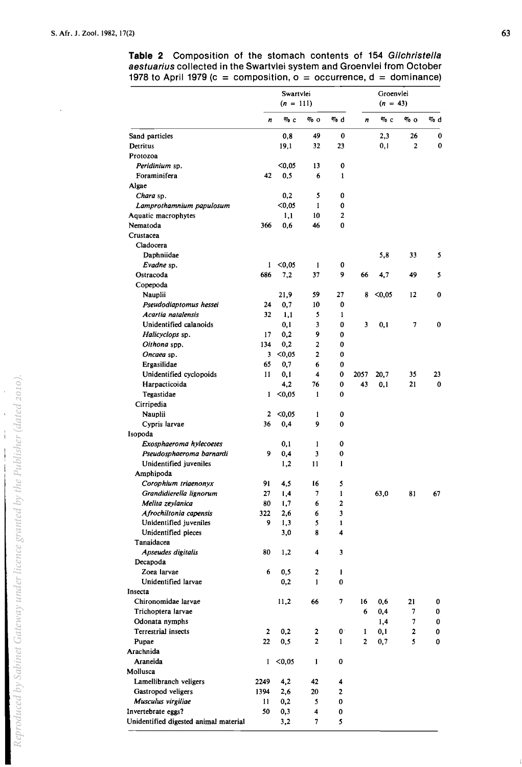l,

|                                       | Swartvlei<br>$(n = 111)$ |        |                |              | Groenvlei<br>$(n = 43)$ |        |              |     |
|---------------------------------------|--------------------------|--------|----------------|--------------|-------------------------|--------|--------------|-----|
|                                       | n                        | $\%$ c | $\%$ O         | $\%$ d       | n                       | $\%$ c | $\%$ 0       | % d |
| Sand particles                        |                          | 0,8    | 49             | 0            |                         | 2,3    | 26           | 0   |
| Detritus                              |                          | 19,1   | 32             | 23           |                         | 0,1    | 2            | 0   |
| Protozoa                              |                          |        |                |              |                         |        |              |     |
| Peridinium sp.                        |                          | $0,05$ | 13             | 0            |                         |        |              |     |
| Foraminifera                          | 42                       | 0,5    | 6              | $\mathbf{1}$ |                         |        |              |     |
| Algae                                 |                          |        |                |              |                         |        |              |     |
| Chara sp.                             |                          | 0,2    | 5              | 0            |                         |        |              |     |
| Lamprothamnium papulosum              |                          | $0,05$ | 1              | 0            |                         |        |              |     |
| Aquatic macrophytes                   |                          | 1,1    | 10             | 2            |                         |        |              |     |
| Nematoda                              | 366                      | 0.6    | 46             | 0            |                         |        |              |     |
| Crustacea                             |                          |        |                |              |                         |        |              |     |
| Cladocera                             |                          |        |                |              |                         |        |              |     |
| Daphniidae                            |                          |        |                |              |                         | 5,8    | 33           | 5   |
| Evadne sp.                            | 1                        | $0,05$ | 1              | 0            |                         |        |              |     |
| Ostracoda                             | 686                      | 7,2    | 37             | 9            | 66                      | 4,7    | 49           | 5   |
| Copepoda                              |                          |        |                |              |                         |        |              |     |
| Nauplii                               |                          | 21,9   | 59             | 27           | 8                       | $0,05$ | 12           | 0   |
| Pseudodiaptomus hessei                | 24                       | 0,7    | 10             | 0            |                         |        |              |     |
| Acartia natalensis                    | 32                       | 1,1    | 5              | 1            |                         |        |              |     |
| Unidentified calanoids                |                          | 0,1    | 3              | 0            | 3                       | 0,1    | 7            | 0   |
| Halicyclops sp.                       | 17                       | 0,2    | 9              | 0            |                         |        |              |     |
| Oithona spp.                          | 134                      | 0.2    | 2              | 0            |                         |        |              |     |
| Oncaea sp.                            | 3                        | $0,05$ | $\overline{2}$ | 0            |                         |        |              |     |
| Ergasilidae                           | 65                       | 0,7    | 6              | 0            |                         |        |              |     |
| Unidentified cyclopoids               | 11                       | 0,1    | 4              | 0            | 2057                    | 20,7   | 35           | 23  |
| Harpacticoida                         |                          | 4.2    | 76             | 0            | 43                      | 0,1    | 21           | 0   |
| Tegastidae                            | 1                        | $0,05$ | 1              | 0            |                         |        |              |     |
| Cirripedia                            |                          |        |                |              |                         |        |              |     |
| Nauplii                               | 2                        | < 0.05 | 1              | 0            |                         |        |              |     |
| Cypris larvae                         | 36                       | 0,4    | 9              | 0            |                         |        |              |     |
| Isopoda                               |                          |        |                |              |                         |        |              |     |
| Exosphaeroma hylecoetes               |                          | 0,1    | 1              | 0            |                         |        |              |     |
| Pseudosphaeroma barnardi              | 9                        | 0,4    | 3              | 0            |                         |        |              |     |
| Unidentified juveniles                |                          | 1,2    | 11             | 1            |                         |        |              |     |
| Amphipoda                             |                          |        |                |              |                         |        |              |     |
| Corophium triaenonyx                  | 91                       | 4,5    | 16             | 5            |                         |        |              |     |
| Grandidierella lignorum               | 27                       | 4, ا   | 7.             | I            |                         |        | 81           | 67  |
| Melita zeylanica                      | 80                       | 1,7    | 6              | 2            |                         | 63,0   |              |     |
| Afrochiltonia capensis                | 322                      | 2,6    | 6              | 3            |                         |        |              |     |
| Unidentified juveniles                | 9.                       | 1,3    | 5              | 1            |                         |        |              |     |
| Unidentified pieces                   |                          | 3,0    | 8              | 4            |                         |        |              |     |
| Tanaidacea                            |                          |        |                |              |                         |        |              |     |
| Apseudes digitalis                    | 80                       | 1,2    | 4              | 3            |                         |        |              |     |
| Decapoda                              |                          |        |                |              |                         |        |              |     |
| Zoea larvae                           | 6                        | 0,5    | 2              | I            |                         |        |              |     |
| Unidentified larvae                   |                          | 0,2    | 1              | 0            |                         |        |              |     |
| Insecta                               |                          |        |                |              |                         |        |              |     |
| Chironomidae larvae                   |                          | 11,2   | 66             | 7            | 16                      | 0,6    | 21           | 0   |
| Trichoptera larvae                    |                          |        |                |              | 6                       | 0,4    | 7            | 0   |
| Odonata nymphs                        |                          |        |                |              |                         | 1,4    | 7            | 0   |
| Terrestrial insects                   | $\mathbf{2}$             | 0,2    | 2              | $\mathbf{0}$ | 1                       | 0,1    | $\mathbf{z}$ | 0   |
|                                       | 22                       |        | 2              |              | 2                       |        | 5            |     |
| Pupae                                 |                          | 0, 5   |                | 1            |                         | 0,7    |              | 0   |
| Arachnida                             |                          |        |                |              |                         |        |              |     |
| Araneida                              | 1                        | $0,05$ | 1              | 0            |                         |        |              |     |
| Mollusca                              |                          |        |                |              |                         |        |              |     |
| Lamellibranch veligers                | 2249                     | 4,2    | 42             | 4            |                         |        |              |     |
| Gastropod veligers                    | 1394                     | 2,6    | 20             | 2            |                         |        |              |     |
| Musculus virgiliae                    | 11                       | 0,2    | 5              | 0            |                         |        |              |     |
| Invertebrate eggs?                    | 50                       | 0,3    | 4              | 0            |                         |        |              |     |
| Unidentified digested animal material |                          | 3,2    | 7              | 5            |                         |        |              |     |

## **Table 2** Composition of the stomach contents of 154 Gilchristella aestuarius collected in the Swartvlei system and Groenvlei from October 1978 to April 1979 (c = composition,  $o = occurrent$ , d = dominance)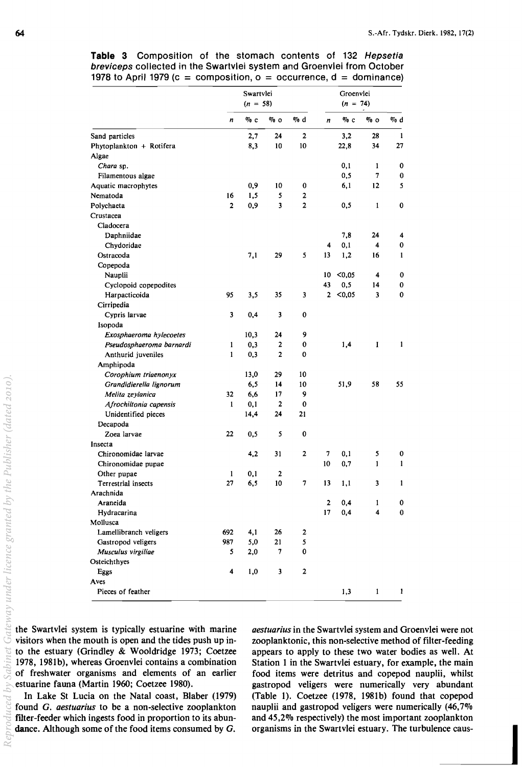|                          | Swartvlei<br>$(n = 58)$ |        |                     |                | Groenvlei<br>$(n = 74)$ |        |                         |              |
|--------------------------|-------------------------|--------|---------------------|----------------|-------------------------|--------|-------------------------|--------------|
|                          | $\boldsymbol{n}$        | $\%$ c | % о                 | $\%$ d         | $\boldsymbol{n}$        | $\%$ c | % о                     | $\%$ d       |
| Sand particles           |                         | 2,7    | 24                  | $\mathbf 2$    |                         | 3,2    | 28                      | $\mathbf{1}$ |
| Phytoplankton + Rotifera |                         | 8,3    | 10                  | 10             |                         | 22,8   | 34                      | 27           |
| Algae                    |                         |        |                     |                |                         |        |                         |              |
| Chara sp.                |                         |        |                     |                |                         | 0,1    | 1                       | 0            |
| Filamentous algae        |                         |        |                     |                |                         | 0,5    | 7                       | 0            |
| Aquatic macrophytes      |                         | 0,9    | 10                  | $\bf{0}$       |                         | 6,1    | 12                      | 5            |
| Nematoda                 | 16                      | 1,5    | 5                   | 2              |                         |        |                         |              |
| Polychaeta               | $\overline{2}$          | 0,9    | 3                   | $\overline{2}$ |                         | 0,5    | 1                       | 0            |
| Crustacea                |                         |        |                     |                |                         |        |                         |              |
| Cladocera                |                         |        |                     |                |                         |        |                         |              |
| Daphniidae               |                         |        |                     |                |                         | 7,8    | 24                      | 4            |
| Chydoridae               |                         |        |                     |                | 4                       | 0,1    | 4                       | 0            |
| Ostracoda                |                         | 7,1    | 29                  | 5              | 13                      | 1,2    | 16                      | 1            |
| Copepoda                 |                         |        |                     |                |                         |        |                         |              |
| Nauplii                  |                         |        |                     |                | 10                      | < 0.05 | $\overline{\mathbf{4}}$ | 0            |
| Cyclopoid copepodites    |                         |        |                     |                | 43                      | 0, 5   | 14                      | 0            |
| Harpacticoida            | 95                      | 3,5    | 35                  | 3              | 2                       | $0,05$ | $\overline{\mathbf{3}}$ | 0            |
| Cirripedia               |                         |        |                     |                |                         |        |                         |              |
| Cypris larvae            | 3                       | 0,4    | 3                   | 0              |                         |        |                         |              |
| Isopoda                  |                         |        |                     |                |                         |        |                         |              |
|                          |                         | 10,3   | 24                  | 9              |                         |        |                         |              |
| Exosphaeroma hylecoetes  |                         |        |                     |                |                         |        |                         | 1            |
| Pseudosphaeroma barnardi | 1<br>1                  | 0,3    | 2<br>$\overline{2}$ | 0<br>0         |                         | 1,4    | 1                       |              |
| Anthurid juveniles       |                         | 0,3    |                     |                |                         |        |                         |              |
| Amphipoda                |                         |        |                     |                |                         |        |                         |              |
| Corophium triaenonyx     |                         | 13,0   | 29                  | 10             |                         |        |                         |              |
| Grandidierella lignorum  |                         | 6,5    | 14                  | 10             |                         | 51,9   | 58                      | 55           |
| Melita zeylanica         | 32                      | 6,6    | 17                  | 9              |                         |        |                         |              |
| Afrochiltonia capensis   | $\mathbf{1}$            | 0,1    | $\mathbf{2}$        | 0              |                         |        |                         |              |
| Unidentified pieces      |                         | 14,4   | 24                  | 21             |                         |        |                         |              |
| Decapoda                 |                         |        |                     |                |                         |        |                         |              |
| Zoea larvae              | 22                      | 0,5    | 5                   | 0              |                         |        |                         |              |
| Insecta                  |                         |        |                     |                |                         |        |                         |              |
| Chironomidae larvae      |                         | 4,2    | 31                  | 2              | 7                       | 0,1    | 5                       | 0            |
| Chironomidae pupae       |                         |        |                     |                | 10                      | 0,7    | 1                       | 1            |
| Other pupae              | 1                       | 0,1    | 2                   |                |                         |        |                         |              |
| Terrestrial insects      | 27                      | 6,5    | 10                  | 7              | 13                      | 1,1    | 3                       | 1            |
| Arachnida                |                         |        |                     |                |                         |        |                         |              |
| Araneida                 |                         |        |                     |                | $\mathbf{2}$            | 0,4    | 1                       | 0            |
| Hydracarina              |                         |        |                     |                | 17                      | 0,4    | 4                       | $\bf{0}$     |
| Mollusca                 |                         |        |                     |                |                         |        |                         |              |
| Lamellibranch veligers   | 692                     | 4,1    | 26                  | 2              |                         |        |                         |              |
| Gastropod veligers       | 987                     | 5,0    | 21                  | 5              |                         |        |                         |              |
| Musculus virgiliae       | 5                       | 2,0    | 7                   | 0              |                         |        |                         |              |
| Osteichthyes             |                         |        |                     |                |                         |        |                         |              |
| Eggs                     | 4                       | 1,0    | 3                   | $\mathbf 2$    |                         |        |                         |              |
| Aves                     |                         |        |                     |                |                         |        |                         |              |
| Pieces of feather        |                         |        |                     |                |                         | 1,3    | 1                       | 1            |

**Table** 3 Composition of the stomach contents of 132 Hepsetia breviceps collected in the Swartvlei system and Groenvlei from October 1978 to April 1979 (c = composition,  $o = occurrent$  d = dominance)

the Swartvlei system is typically estuarine with marine visitors when the mouth is open and the tides push up into the estuary (Grindley & Wooldridge 1973; Coetzee 1978, 198Ib), whereas Groenvlei contains a combination of freshwater organisms and elements of an earlier estuarine fauna (Martin 1960; Coetzee 1980).

In Lake St Lucia on the Natal coast, Blaber (1979) found G. *aestuarius* to be a non-selective zooplankton filter-feeder which ingests food in proportion to its abundance. Although some of the food items consumed by G.

*aestuarius* in the Swartvlei system and Groenvlei were not zooplanktonic, this non-selective method of filter-feeding appears to apply to these two water bodies as well. At Station 1 in the Swartvlei estuary, for example, the main food items were detritus and copepod nauplii, whilst gastropod veligers were numerically very abundant (Table I). Coetzee (1978, 1981b) found that copepod nauplii and gastropod veligers were numerically (46,7% and 45,2% respectively) the most important zooplankton organisms in the Swartvlei estuary. The turbulence caus-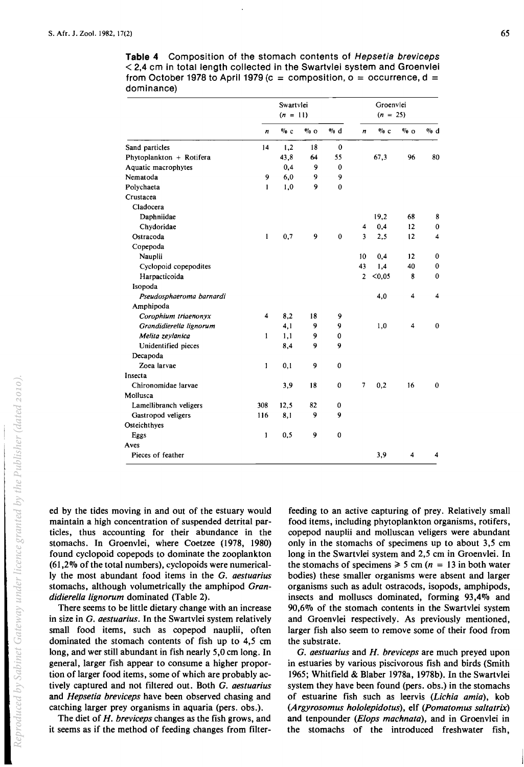|                          | Swartvlei    |        |        |              | Groenvlei<br>$(n = 25)$ |        |                         |                         |
|--------------------------|--------------|--------|--------|--------------|-------------------------|--------|-------------------------|-------------------------|
|                          | $(n = 11)$   |        |        |              |                         |        |                         |                         |
|                          | n            | $\%$ c | $\%$ o | $\%$ d       | n                       | $\%$ c | $\%$ 0                  | % d                     |
| Sand particles           | 14           | 1,2    | 18     | 0            |                         |        |                         |                         |
| Phytoplankton + Rotifera |              | 43,8   | 64     | 55           |                         | 67.3   | 96                      | 80                      |
| Aquatic macrophytes      |              | 0,4    | 9      | $\bf{0}$     |                         |        |                         |                         |
| Nematoda                 | 9            | 6,0    | 9      | 9            |                         |        |                         |                         |
| Polychaeta               | $\mathbf{I}$ | 1,0    | 9      | $\mathbf{0}$ |                         |        |                         |                         |
| Crustacea                |              |        |        |              |                         |        |                         |                         |
| Cladocera                |              |        |        |              |                         |        |                         |                         |
| Daphniidae               |              |        |        |              |                         | 19,2   | 68                      | 8                       |
| Chydoridae               |              |        |        |              | 4                       | 0,4    | 12                      | $\bf{0}$                |
| Ostracoda                | $\mathbf{1}$ | 0,7    | 9      | $\bf{0}$     | 3                       | 2,5    | 12                      | 4                       |
| Copepoda                 |              |        |        |              |                         |        |                         |                         |
| Nauplii                  |              |        |        |              | 10                      | 0,4    | 12                      | $\bf{0}$                |
| Cyclopoid copepodites    |              |        |        |              | 43                      | 1,4    | 40                      | $\bf{0}$                |
| Harpacticoida            |              |        |        |              | $\overline{2}$          | $0,05$ | 8                       | $\bf{0}$                |
| Isopoda                  |              |        |        |              |                         |        |                         |                         |
| Pseudosphaeroma barnardi |              |        |        |              |                         | 4,0    | $\overline{\mathbf{4}}$ | $\overline{\mathbf{4}}$ |
| Amphipoda                |              |        |        |              |                         |        |                         |                         |
| Corophium triaenonyx     | 4            | 8.2    | 18     | 9            |                         |        |                         |                         |
| Grandidierella lignorum  |              | 4,1    | 9      | 9            |                         | 1,0    | 4                       | $\bf{0}$                |
| Melita zeylanica         | 1            | 1,1    | 9      | 0            |                         |        |                         |                         |
| Unidentified pieces      |              | 8,4    | 9      | 9            |                         |        |                         |                         |
| Decapoda                 |              |        |        |              |                         |        |                         |                         |
| Zoea larvae              | 1            | 0,1    | 9      | $\mathbf{0}$ |                         |        |                         |                         |
| Insecta                  |              |        |        |              |                         |        |                         |                         |
| Chironomidae larvae      |              | 3,9    | 18     | $\bf{0}$     | 7                       | 0,2    | 16                      | $\bf{0}$                |
| Mollusca                 |              |        |        |              |                         |        |                         |                         |
| Lamellibranch veligers   | 308          | 12,5   | 82     | 0            |                         |        |                         |                         |
| Gastropod veligers       | 116          | 8,1    | 9      | 9            |                         |        |                         |                         |
| Osteichthyes             |              |        |        |              |                         |        |                         |                         |
| Eggs                     | 1            | 0.5    | 9      | $\mathbf{0}$ |                         |        |                         |                         |
| Aves                     |              |        |        |              |                         |        |                         |                         |
| Pieces of feather        |              |        |        |              |                         | 3,9    | 4                       | 4                       |
|                          |              |        |        |              |                         |        |                         |                         |

**Table 4** Composition of the stomach contents of Hepsetia breviceps < 2,4 cm in total length collected in the Swartvlei system and Groenvlei from October 1978 to April 1979 (c = composition,  $o = occurrent$  =  $i$ dominance)

ed by the tides moving in and out of the estuary would maintain a high concentration of suspended detrital particles, thus accounting for their abundance in the stomachs. In Groenvlei, where Coetzee (1978, 1980) found cyclopoid copepods to dominate the zooplankton  $(61,2\%$  of the total numbers), cyclopoids were numerically the most abundant food items in the G. *aestuarius*  stomachs, although volumetrically the amphipod *Grandidierella lignorum* dominated (Table 2).

There seems to be little dietary change with an increase in size in G. *aestuarius.* In the Swartvlei system relatively small food items, such as copepod nauplii, often dominated the stomach contents of fish up to 4,5 cm long, and wer still abundant in fish nearly 5,0 cm long. In general, larger fish appear to consume a higher proportion of larger food items, some of which are probably actively captured and not filtered out. Both G. *aestuarius*  and *Hepsetia breviceps* have been observed chasing and catching larger prey organisms in aquaria (pers. obs.).

The diet of *H. breviceps* changes as the fish grows, and it seems as if the method of feeding changes from filterfeeding to an active capturing of prey. Relatively small food items, including phytoplankton organisms, rotifers, copepod nauplii and molluscan veligers were abundant only in the stomachs of specimens up to about 3,5 cm long in the Swartvlei system and 2,5 cm in Groenvlei. In the stomachs of specimens  $\geq 5$  cm (n = 13 in both water bodies) these smaller organisms were absent and larger organisms such as adult ostracods, isopods, amphipods, insects and molluscs dominated, forming 93,4% and 90,6% of the stomach contents in the Swartvlei system and Groenvlei respectively. As previously mentioned, larger fish also seem to remove some of their food from the substrate.

G. *aestuarius* and *H. breviceps* are much preyed upon in estuaries by various piscivorous fish and birds (Smith 1965; Whitfield & Blaber 1978a, 1978b). In the Swartvlei system they have been found (pers. obs.) in the stomachs of estuarine fish such as leervis *(Lichia amia),* kob *(Argyrosomus hololepidotus),* elf *(Pomatomus saitatrix)*  and tenpounder *(Elops machnata),* and in Groenvlei in the stomachs of the introduced freshwater fish,